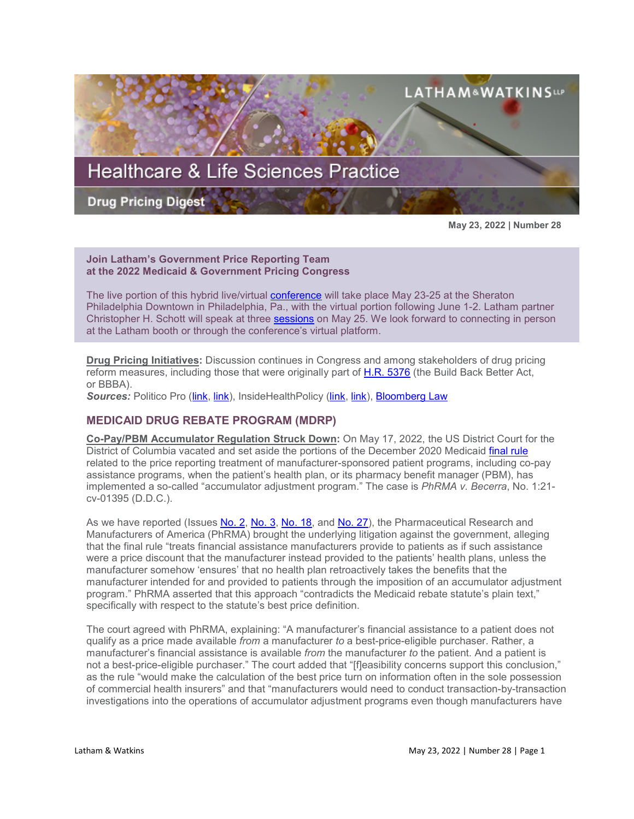

**May 23, 2022 | Number 28**

### **Join Latham's Government Price Reporting Team at the 2022 Medicaid & Government Pricing Congress**

The live portion of this hybrid live/virtual [conference](https://informaconnect.com/medicaid-government-pricing/) will take place May 23-25 at the Sheraton Philadelphia Downtown in Philadelphia, Pa., with the virtual portion following June 1-2. Latham partner Christopher H. Schott will speak at three [sessions](https://informaconnect.com/medicaid-government-pricing/speakers/christopher-schott/) on May 25. We look forward to connecting in person at the Latham booth or through the conference's virtual platform.

**Drug Pricing Initiatives:** Discussion continues in Congress and among stakeholders of drug pricing reform measures, including those that were originally part of [H.R. 5376](https://www.sites.lwcommunicate.com/e/rsuy4ryabtyriig/f831d9cf-6927-4352-a6f9-2b8f768792b1) (the Build Back Better Act, or BBBA).

*Sources:* Politico Pro [\(link,](https://subscriber.politicopro.com/newsletter/2022/05/the-latest-bbb-2-0-pitch-00030949) [link\)](https://subscriber.politicopro.com/newsletter/2022/05/appropriators-abide-the-budget-timeline-00031085), InsideHealthPolicy [\(link,](https://insidehealthpolicy.com/daily-news/biden-call-lowering-drug-insurance-prices-fight-inflation) [link\)](https://insidehealthpolicy.com/daily-news/sanders14-dems-reintroduce-medicare-all-bill), [Bloomberg Law](https://www.bloomberglaw.com/bloomberglawnews/exp/eyJjdHh0IjoiSFBOVyIsImlkIjoiMDAwMDAxODAtZGM4Yy1kMjE2LWExZjItZmNjY2ZmZGQwMDAxIiwic2lnIjoiQVBoM1QzUE1FTFIrN0lUaGRNRFhmbGpxeDR3PSIsInRpbWUiOiIxNjUzMDQ0MDUwIiwidXVpZCI6IlFuajZTcjRKL3BodmlmU2IrbnA1Unc9PWhlWU1PS2gzYmR2elJaUTRsb3FFTkE9PSIsInYiOiIxIn0=?bwid=00000180-dc8c-d216-a1f2-fcccffdd0001&cti=LFVL&emc=bhpnw_nl%3A14&et=NEWSLETTER&isAlert=false&item=read-text&qid=7295734®ion=digest&source=newsletter&uc=1320011525&udvType=Alert&usertype=External)

# **MEDICAID DRUG REBATE PROGRAM (MDRP)**

**Co-Pay/PBM Accumulator Regulation Struck Down:** On May 17, 2022, the US District Court for the District of Columbia vacated and set aside the portions of the December 2020 Medicaid [final rule](https://www.federalregister.gov/documents/2020/12/31/2020-28567/medicaid-program-establishing-minimum-standards-in-medicaid-state-drug-utilization-review-dur-and) related to the price reporting treatment of manufacturer-sponsored patient programs, including co-pay assistance programs, when the patient's health plan, or its pharmacy benefit manager (PBM), has implemented a so-called "accumulator adjustment program." The case is *PhRMA v. Becerra*, No. 1:21 cv-01395 (D.D.C.).

As we have reported (Issues [No. 2,](https://www.lw.com/thoughtLeadership/healthcare-life-sciences-drug-pricing-digest-number-2) [No. 3,](https://www.lw.com/thoughtLeadership/healthcare-life-sciences-drug-pricing-digest-number-3) [No. 18,](https://www.lw.com/thoughtLeadership/healthcare-life-sciences-drug-pricing-digest-number-18) and [No. 27\)](https://www.lw.com/thoughtLeadership/healthcare-life-sciences-drug-pricing-digest-number-27), the Pharmaceutical Research and Manufacturers of America (PhRMA) brought the underlying litigation against the government, alleging that the final rule "treats financial assistance manufacturers provide to patients as if such assistance were a price discount that the manufacturer instead provided to the patients' health plans, unless the manufacturer somehow 'ensures' that no health plan retroactively takes the benefits that the manufacturer intended for and provided to patients through the imposition of an accumulator adjustment program." PhRMA asserted that this approach "contradicts the Medicaid rebate statute's plain text," specifically with respect to the statute's best price definition.

The court agreed with PhRMA, explaining: "A manufacturer's financial assistance to a patient does not qualify as a price made available *from* a manufacturer *to* a best-price-eligible purchaser. Rather, a manufacturer's financial assistance is available *from* the manufacturer *to* the patient. And a patient is not a best-price-eligible purchaser." The court added that "[f]easibility concerns support this conclusion," as the rule "would make the calculation of the best price turn on information often in the sole possession of commercial health insurers" and that "manufacturers would need to conduct transaction-by-transaction investigations into the operations of accumulator adjustment programs even though manufacturers have